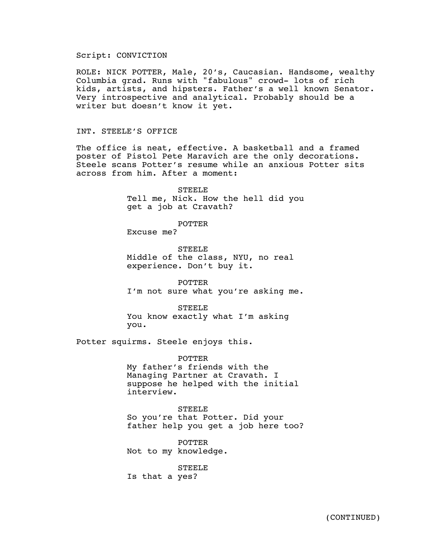# Script: CONVICTION

ROLE: NICK POTTER, Male, 20's, Caucasian. Handsome, wealthy Columbia grad. Runs with "fabulous" crowd- lots of rich kids, artists, and hipsters. Father's a well known Senator. Very introspective and analytical. Probably should be a writer but doesn't know it yet.

## INT. STEELE'S OFFICE

The office is neat, effective. A basketball and a framed poster of Pistol Pete Maravich are the only decorations. Steele scans Potter's resume while an anxious Potter sits across from him. After a moment:

> **STEELE** Tell me, Nick. How the hell did you get a job at Cravath?

> > POTTER

Excuse me?

STEELE Middle of the class, NYU, no real experience. Don't buy it.

POTTER I'm not sure what you're asking me.

STEELE You know exactly what I'm asking you.

Potter squirms. Steele enjoys this.

POTTER My father's friends with the Managing Partner at Cravath. I suppose he helped with the initial interview.

STEELE So you're that Potter. Did your father help you get a job here too?

POTTER Not to my knowledge.

STEELE Is that a yes?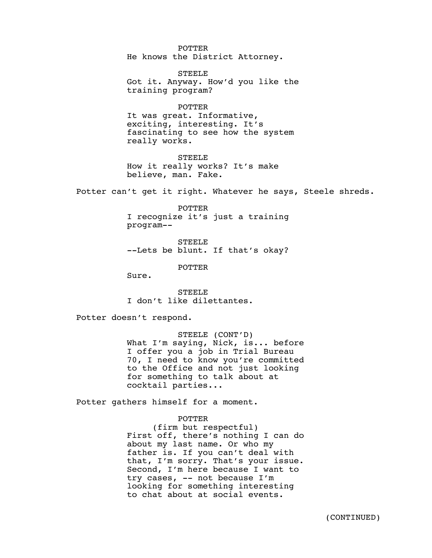POTTER He knows the District Attorney.

STEELE Got it. Anyway. How'd you like the training program?

POTTER

It was great. Informative, exciting, interesting. It's fascinating to see how the system really works.

STEELE How it really works? It's make believe, man. Fake.

Potter can't get it right. Whatever he says, Steele shreds.

POTTER I recognize it's just a training program--

STEELE --Lets be blunt. If that's okay?

POTTER

Sure.

STEELE I don't like dilettantes.

Potter doesn't respond.

STEELE (CONT'D) What I'm saying, Nick, is... before I offer you a job in Trial Bureau 70, I need to know you're committed to the Office and not just looking for something to talk about at cocktail parties...

Potter gathers himself for a moment.

#### POTTER

(firm but respectful) First off, there's nothing I can do about my last name. Or who my father is. If you can't deal with that, I'm sorry. That's your issue. Second, I'm here because I want to try cases, -- not because I'm looking for something interesting to chat about at social events.

(CONTINUED)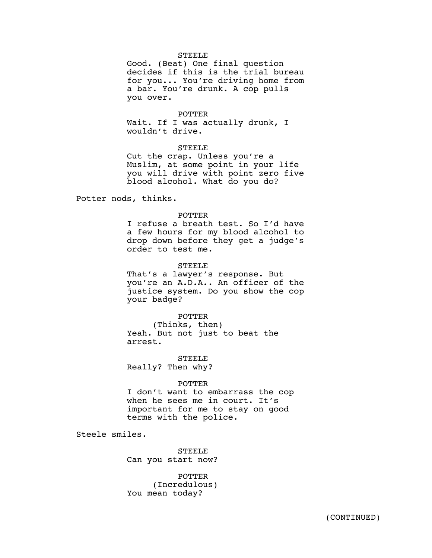## **STEELE**

Good. (Beat) One final question decides if this is the trial bureau for you... You're driving home from a bar. You're drunk. A cop pulls you over.

### POTTER

Wait. If I was actually drunk, I wouldn't drive.

## STEELE

Cut the crap. Unless you're a Muslim, at some point in your life you will drive with point zero five blood alcohol. What do you do?

Potter nods, thinks.

### POTTER

I refuse a breath test. So I'd have a few hours for my blood alcohol to drop down before they get a judge's order to test me.

### STEELE

That's a lawyer's response. But you're an A.D.A.. An officer of the justice system. Do you show the cop your badge?

# POTTER

(Thinks, then) Yeah. But not just to beat the arrest.

STEELE Really? Then why?

#### POTTER

I don't want to embarrass the cop when he sees me in court. It's important for me to stay on good terms with the police.

Steele smiles.

STEELE Can you start now?

POTTER (Incredulous) You mean today?